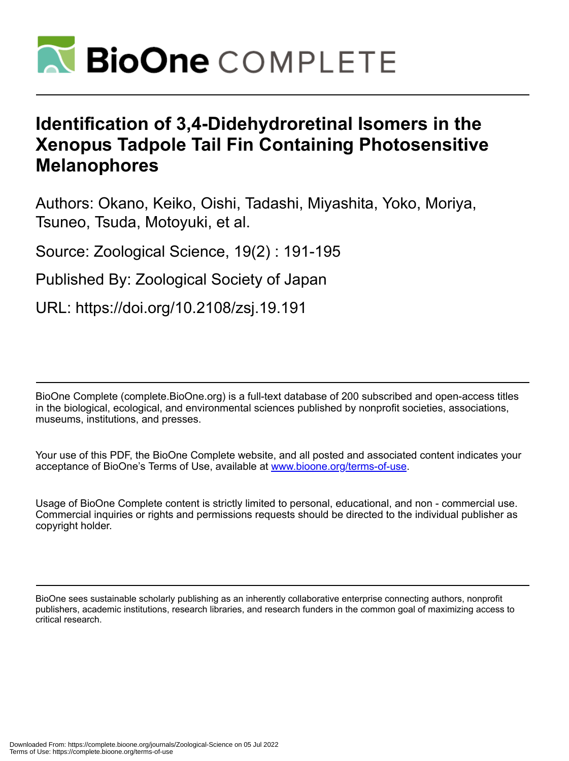

# **Identification of 3,4-Didehydroretinal Isomers in the Xenopus Tadpole Tail Fin Containing Photosensitive Melanophores**

Authors: Okano, Keiko, Oishi, Tadashi, Miyashita, Yoko, Moriya, Tsuneo, Tsuda, Motoyuki, et al.

Source: Zoological Science, 19(2) : 191-195

Published By: Zoological Society of Japan

URL: https://doi.org/10.2108/zsj.19.191

BioOne Complete (complete.BioOne.org) is a full-text database of 200 subscribed and open-access titles in the biological, ecological, and environmental sciences published by nonprofit societies, associations, museums, institutions, and presses.

Your use of this PDF, the BioOne Complete website, and all posted and associated content indicates your acceptance of BioOne's Terms of Use, available at www.bioone.org/terms-of-use.

Usage of BioOne Complete content is strictly limited to personal, educational, and non - commercial use. Commercial inquiries or rights and permissions requests should be directed to the individual publisher as copyright holder.

BioOne sees sustainable scholarly publishing as an inherently collaborative enterprise connecting authors, nonprofit publishers, academic institutions, research libraries, and research funders in the common goal of maximizing access to critical research.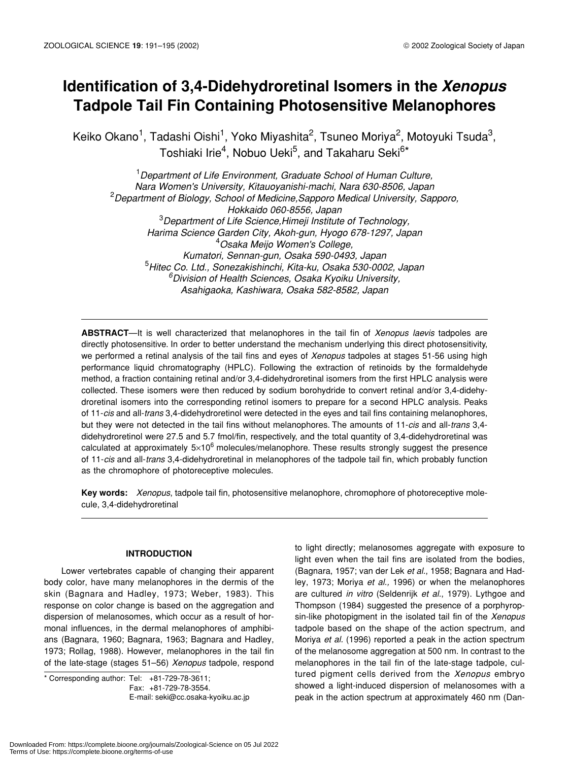# **Identification of 3,4-Didehydroretinal Isomers in the** *Xenopus*  **Tadpole Tail Fin Containing Photosensitive Melanophores**

Keiko Okano $^1$ , Tadashi Oishi $^1$ , Yoko Miyashita $^2$ , Tsuneo Moriya $^2$ , Motoyuki Tsuda $^3\!$ Toshiaki Irie<sup>4</sup>, Nobuo Ueki<sup>5</sup>, and Takaharu Seki<sup>6\*</sup>

1 *Department of Life Environment, Graduate School of Human Culture, Nara Women's University, Kitauoyanishi-machi, Nara 630-8506, Japan* 2 *Department of Biology, School of Medicine,Sapporo Medical University, Sapporo, Hokkaido 060-8556, Japan* 3 *Department of Life Science,Himeji Institute of Technology, Harima Science Garden City, Akoh-gun, Hyogo 678-1297, Japan* 4 *Osaka Meijo Women's College, Kumatori, Sennan-gun, Osaka 590-0493, Japan* 5 *Hitec Co. Ltd., Sonezakishinchi, Kita-ku, Osaka 530-0002, Japan 6 Division of Health Sciences, Osaka Kyoiku University, Asahigaoka, Kashiwara, Osaka 582-8582, Japan*

**ABSTRACT**—It is well characterized that melanophores in the tail fin of *Xenopus laevis* tadpoles are directly photosensitive. In order to better understand the mechanism underlying this direct photosensitivity, we performed a retinal analysis of the tail fins and eyes of *Xenopus* tadpoles at stages 51-56 using high performance liquid chromatography (HPLC). Following the extraction of retinoids by the formaldehyde method, a fraction containing retinal and/or 3,4-didehydroretinal isomers from the first HPLC analysis were collected. These isomers were then reduced by sodium borohydride to convert retinal and/or 3,4-didehydroretinal isomers into the corresponding retinol isomers to prepare for a second HPLC analysis. Peaks of 11-*cis* and all-*trans* 3,4-didehydroretinol were detected in the eyes and tail fins containing melanophores, but they were not detected in the tail fins without melanophores. The amounts of 11-*cis* and all-*trans* 3,4 didehydroretinol were 27.5 and 5.7 fmol/fin, respectively, and the total quantity of 3,4-didehydroretinal was calculated at approximately  $5\times10^6$  molecules/melanophore. These results strongly suggest the presence of 11-*cis* and all-*trans* 3,4-didehydroretinal in melanophores of the tadpole tail fin, which probably function as the chromophore of photoreceptive molecules.

**Key words:** *Xenopus*, tadpole tail fin, photosensitive melanophore, chromophore of photoreceptive molecule, 3,4-didehydroretinal

# **INTRODUCTION**

Lower vertebrates capable of changing their apparent body color, have many melanophores in the dermis of the skin (Bagnara and Hadley, 1973; Weber, 1983). This response on color change is based on the aggregation and dispersion of melanosomes, which occur as a result of hormonal influences, in the dermal melanophores of amphibians (Bagnara, 1960; Bagnara, 1963; Bagnara and Hadley, 1973; Rollag, 1988). However, melanophores in the tail fin of the late-stage (stages 51–56) *Xenopus* tadpole, respond

\* Corresponding author: Tel: +81-729-78-3611; Fax: +81-729-78-3554. E-mail: seki@cc.osaka-kyoiku.ac.jp

to light directly; melanosomes aggregate with exposure to light even when the tail fins are isolated from the bodies, (Bagnara, 1957; van der Lek *et al.*, 1958; Bagnara and Hadley, 1973; Moriya *et al.,* 1996) or when the melanophores are cultured *in vitro* (Seldenrijk *et al.*, 1979). Lythgoe and Thompson (1984) suggested the presence of a porphyropsin-like photopigment in the isolated tail fin of the *Xenopus* tadpole based on the shape of the action spectrum, and Moriya *et al.* (1996) reported a peak in the action spectrum of the melanosome aggregation at 500 nm. In contrast to the melanophores in the tail fin of the late-stage tadpole, cultured pigment cells derived from the *Xenopus* embryo showed a light-induced dispersion of melanosomes with a peak in the action spectrum at approximately 460 nm (Dan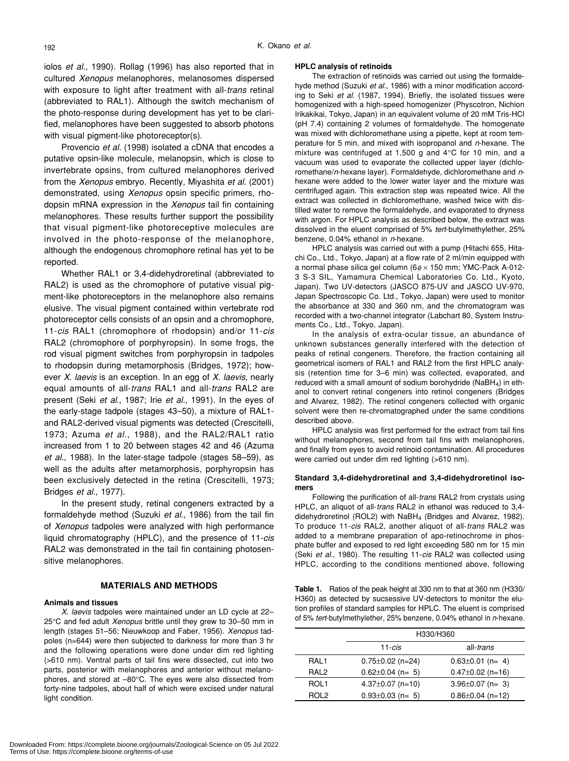iolos *et al.,* 1990). Rollag (1996) has also reported that in cultured *Xenopus* melanophores, melanosomes dispersed with exposure to light after treatment with all-*trans* retinal (abbreviated to RAL1). Although the switch mechanism of the photo-response during development has yet to be clarified, melanophores have been suggested to absorb photons with visual pigment-like photoreceptor(s).

Provencio *et al.* (1998) isolated a cDNA that encodes a putative opsin-like molecule, melanopsin, which is close to invertebrate opsins, from cultured melanophores derived from the *Xenopus* embryo. Recently, Miyashita *et al.* (2001) demonstrated, using *Xenopus* opsin specific primers, rhodopsin mRNA expression in the *Xenopus* tail fin containing melanophores. These results further support the possibility that visual pigment-like photoreceptive molecules are involved in the photo-response of the melanophore, although the endogenous chromophore retinal has yet to be reported.

Whether RAL1 or 3,4-didehydroretinal (abbreviated to RAL2) is used as the chromophore of putative visual pigment-like photoreceptors in the melanophore also remains elusive. The visual pigment contained within vertebrate rod photoreceptor cells consists of an opsin and a chromophore, 11-*cis* RAL1 (chromophore of rhodopsin) and/or 11-*cis* RAL2 (chromophore of porphyropsin). In some frogs, the rod visual pigment switches from porphyropsin in tadpoles to rhodopsin during metamorphosis (Bridges, 1972); however *X. laevis* is an exception. In an egg of *X. laevis*, nearly equal amounts of all-*trans* RAL1 and all-*trans* RAL2 are present (Seki *et al.*, 1987; Irie *et al.*, 1991). In the eyes of the early-stage tadpole (stages 43–50), a mixture of RAL1 and RAL2-derived visual pigments was detected (Crescitelli, 1973; Azuma *et al.*, 1988), and the RAL2/RAL1 ratio increased from 1 to 20 between stages 42 and 46 (Azuma *et al.*, 1988). In the later-stage tadpole (stages 58–59), as well as the adults after metamorphosis, porphyropsin has been exclusively detected in the retina (Crescitelli, 1973; Bridges *et al.*, 1977).

In the present study, retinal congeners extracted by a formaldehyde method (Suzuki *et al.*, 1986) from the tail fin of *Xenopus* tadpoles were analyzed with high performance liquid chromatography (HPLC), and the presence of 11-*cis* RAL2 was demonstrated in the tail fin containing photosensitive melanophores.

# **MATERIALS AND METHODS**

#### **Animals and tissues**

*X. laevis* tadpoles were maintained under an LD cycle at 22– 25°C and fed adult *Xenopus* brittle until they grew to 30–50 mm in length (stages 51–56; Nieuwkoop and Faber, 1956). *Xenopus* tadpoles (n=644) were then subjected to darkness for more than 3 hr and the following operations were done under dim red lighting (>610 nm). Ventral parts of tail fins were dissected, cut into two parts, posterior with melanophores and anterior without melanophores, and stored at –80°C. The eyes were also dissected from forty-nine tadpoles, about half of which were excised under natural light condition.

#### **HPLC analysis of retinoids**

The extraction of retinoids was carried out using the formaldehyde method (Suzuki *et al*., 1986) with a minor modification according to Seki *et al*. (1987, 1994). Briefly, the isolated tissues were homogenized with a high-speed homogenizer (Physcotron, Nichion Irikakikai, Tokyo, Japan) in an equivalent volume of 20 mM Tris-HCl (pH 7.4) containing 2 volumes of formaldehyde. The homogenate was mixed with dichloromethane using a pipette, kept at room temperature for 5 min, and mixed with isopropanol and *n*-hexane. The mixture was centrifuged at 1,500 g and 4°C for 10 min, and a vacuum was used to evaporate the collected upper layer (dichloromethane/*n*-hexane layer). Formaldehyde, dichloromethane and *n*hexane were added to the lower water layer and the mixture was centrifuged again. This extraction step was repeated twice. All the extract was collected in dichloromethane, washed twice with distilled water to remove the formaldehyde, and evaporated to dryness with argon. For HPLC analysis as described below, the extract was dissolved in the eluent comprised of 5% *tert*-butylmethylether, 25% benzene, 0.04% ethanol in *n*-hexane.

HPLC analysis was carried out with a pump (Hitachi 655, Hitachi Co., Ltd., Tokyo, Japan) at a flow rate of 2 ml/min equipped with a normal phase silica gel column ( $6\phi \times 150$  mm; YMC-Pack A-012-3 S-3 SIL, Yamamura Chemical Laboratories Co. Ltd., Kyoto, Japan). Two UV-detectors (JASCO 875-UV and JASCO UV-970, Japan Spectroscopic Co. Ltd., Tokyo, Japan) were used to monitor the absorbance at 330 and 360 nm, and the chromatogram was recorded with a two-channel integrator (Labchart 80, System Instruments Co., Ltd., Tokyo, Japan).

In the analysis of extra-ocular tissue, an abundance of unknown substances generally interfered with the detection of peaks of retinal congeners. Therefore, the fraction containing all geometrical isomers of RAL1 and RAL2 from the first HPLC analysis (retention time for 3–6 min) was collected, evaporated, and reduced with a small amount of sodium borohydride (NaBH4) in ethanol to convert retinal congeners into retinol congeners (Bridges and Alvarez, 1982). The retinol congeners collected with organic solvent were then re-chromatographed under the same conditions described above.

HPLC analysis was first performed for the extract from tail fins without melanophores, second from tail fins with melanophores, and finally from eyes to avoid retinoid contamination. All procedures were carried out under dim red lighting (>610 nm).

#### **Standard 3,4-didehydroretinal and 3,4-didehydroretinol isomers**

Following the purification of all-*trans* RAL2 from crystals using HPLC, an aliquot of all-*trans* RAL2 in ethanol was reduced to 3,4 didehydroretinol (ROL2) with NaBH4 (Bridges and Alvarez, 1982). To produce 11-*cis* RAL2, another aliquot of all-*trans* RAL2 was added to a membrane preparation of apo-retinochrome in phosphate buffer and exposed to red light exceeding 580 nm for 15 min (Seki *et al.*, 1980). The resulting 11-*cis* RAL2 was collected using HPLC, according to the conditions mentioned above, following

**Table 1.** Ratios of the peak height at 330 nm to that at 360 nm (H330/ H360) as detected by sucsessive UV-detectors to monitor the elution profiles of standard samples for HPLC. The eluent is comprised of 5% *tert*-butylmethylether, 25% benzene, 0.04% ethanol in *n*-hexane.

|                  | H330/H360              |                        |
|------------------|------------------------|------------------------|
|                  | $11 - cis$             | all- <i>trans</i>      |
| RAI 1            | $0.75 \pm 0.02$ (n=24) | $0.63 \pm 0.01$ (n= 4) |
| RAI <sub>2</sub> | $0.62 \pm 0.04$ (n= 5) | $0.47 \pm 0.02$ (n=16) |
| ROL <sub>1</sub> | $4.37\pm0.07$ (n=10)   | $3.96 \pm 0.07$ (n= 3) |
| ROL <sub>2</sub> | $0.93 \pm 0.03$ (n= 5) | $0.86 \pm 0.04$ (n=12) |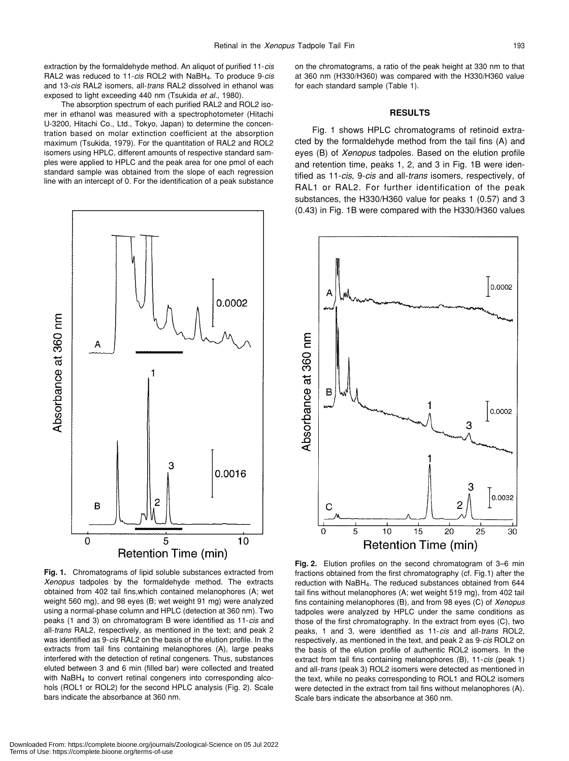extraction by the formaldehyde method. An aliquot of purified 11-*cis* RAL2 was reduced to 11-*cis* ROL2 with NaBH4. To produce 9-*cis* and 13-*cis* RAL2 isomers, all-*trans* RAL2 dissolved in ethanol was exposed to light exceeding 440 nm (Tsukida *et al.*, 1980).

The absorption spectrum of each purified RAL2 and ROL2 isomer in ethanol was measured with a spectrophotometer (Hitachi U-3200, Hitachi Co., Ltd., Tokyo, Japan) to determine the concentration based on molar extinction coefficient at the absorption maximum (Tsukida, 1979). For the quantitation of RAL2 and ROL2 isomers using HPLC, different amounts of respective standard samples were applied to HPLC and the peak area for one pmol of each standard sample was obtained from the slope of each regression line with an intercept of 0. For the identification of a peak substance



**Fig. 1.** Chromatograms of lipid soluble substances extracted from *Xenopus* tadpoles by the formaldehyde method. The extracts obtained from 402 tail fins,which contained melanophores (A; wet weight 560 mg), and 98 eyes (B; wet weight 91 mg) were analyzed using a normal-phase column and HPLC (detection at 360 nm). Two peaks (1 and 3) on chromatogram B were identified as 11-*cis* and all-*trans* RAL2, respectively, as mentioned in the text; and peak 2 was identified as 9-*cis* RAL2 on the basis of the elution profile. In the extracts from tail fins containing melanophores (A), large peaks interfered with the detection of retinal congeners. Thus, substances eluted between 3 and 6 min (filled bar) were collected and treated with NaBH<sub>4</sub> to convert retinal congeners into corresponding alcohols (ROL1 or ROL2) for the second HPLC analysis (Fig. 2). Scale bars indicate the absorbance at 360 nm.

on the chromatograms, a ratio of the peak height at 330 nm to that at 360 nm (H330/H360) was compared with the H330/H360 value for each standard sample (Table 1).

## **RESULTS**

Fig. 1 shows HPLC chromatograms of retinoid extracted by the formaldehyde method from the tail fins (A) and eyes (B) of *Xenopus* tadpoles. Based on the elution profile and retention time, peaks 1, 2, and 3 in Fig. 1B were identified as 11-*cis*, 9-*cis* and all-*trans* isomers, respectively, of RAL1 or RAL2. For further identification of the peak substances, the H330/H360 value for peaks 1 (0.57) and 3 (0.43) in Fig. 1B were compared with the H330/H360 values



**Fig. 2.** Elution profiles on the second chromatogram of 3–6 min fractions obtained from the first chromatography (cf. Fig.1) after the reduction with NaBH4. The reduced substances obtained from 644 tail fins without melanophores (A; wet weight 519 mg), from 402 tail fins containing melanophores (B), and from 98 eyes (C) of *Xenopus* tadpoles were analyzed by HPLC under the same conditions as those of the first chromatography. In the extract from eyes (C), two peaks, 1 and 3, were identified as 11-*cis* and all-*trans* ROL2, respectively, as mentioned in the text, and peak 2 as 9-*cis* ROL2 on the basis of the elution profile of authentic ROL2 isomers. In the extract from tail fins containing melanophores (B), 11-*cis* (peak 1) and all-*trans* (peak 3) ROL2 isomers were detected as mentioned in the text, while no peaks corresponding to ROL1 and ROL2 isomers were detected in the extract from tail fins without melanophores (A). Scale bars indicate the absorbance at 360 nm.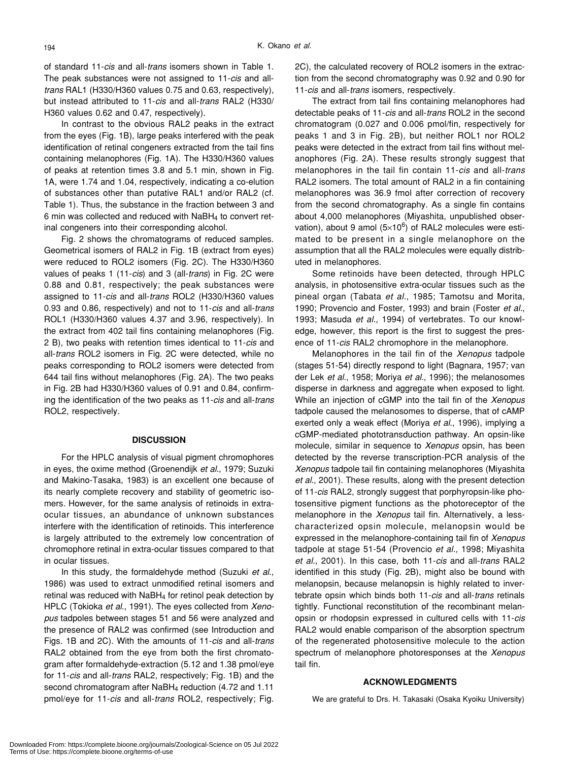of standard 11-*cis* and all-*trans* isomers shown in Table 1. The peak substances were not assigned to 11-*cis* and all*trans* RAL1 (H330/H360 values 0.75 and 0.63, respectively), but instead attributed to 11-*cis* and all-*trans* RAL2 (H330/ H360 values 0.62 and 0.47, respectively).

In contrast to the obvious RAL2 peaks in the extract from the eyes (Fig. 1B), large peaks interfered with the peak identification of retinal congeners extracted from the tail fins containing melanophores (Fig. 1A). The H330/H360 values of peaks at retention times 3.8 and 5.1 min, shown in Fig. 1A, were 1.74 and 1.04, respectively, indicating a co-elution of substances other than putative RAL1 and/or RAL2 (cf. Table 1). Thus, the substance in the fraction between 3 and 6 min was collected and reduced with NaBH4 to convert retinal congeners into their corresponding alcohol.

Fig. 2 shows the chromatograms of reduced samples. Geometrical isomers of RAL2 in Fig. 1B (extract from eyes) were reduced to ROL2 isomers (Fig. 2C). The H330/H360 values of peaks 1 (11-*cis*) and 3 (all-*trans*) in Fig. 2C were 0.88 and 0.81, respectively; the peak substances were assigned to 11-*cis* and all-*trans* ROL2 (H330/H360 values 0.93 and 0.86, respectively) and not to 11-*cis* and all-*trans* ROL1 (H330/H360 values 4.37 and 3.96, respectively). In the extract from 402 tail fins containing melanophores (Fig. 2 B), two peaks with retention times identical to 11-*cis* and all-*trans* ROL2 isomers in Fig. 2C were detected, while no peaks corresponding to ROL2 isomers were detected from 644 tail fins without melanophores (Fig. 2A). The two peaks in Fig. 2B had H330/H360 values of 0.91 and 0.84, confirming the identification of the two peaks as 11-*cis* and all-*trans* ROL2, respectively.

# **DISCUSSION**

For the HPLC analysis of visual pigment chromophores in eyes, the oxime method (Groenendijk *et al.*, 1979; Suzuki and Makino-Tasaka, 1983) is an excellent one because of its nearly complete recovery and stability of geometric isomers. However, for the same analysis of retinoids in extraocular tissues, an abundance of unknown substances interfere with the identification of retinoids. This interference is largely attributed to the extremely low concentration of chromophore retinal in extra-ocular tissues compared to that in ocular tissues.

In this study, the formaldehyde method (Suzuki *et al*., 1986) was used to extract unmodified retinal isomers and retinal was reduced with NaBH4 for retinol peak detection by HPLC (Tokioka *et al*., 1991). The eyes collected from *Xenopus* tadpoles between stages 51 and 56 were analyzed and the presence of RAL2 was confirmed (see Introduction and Figs. 1B and 2C). With the amounts of 11-*cis* and all-*trans* RAL2 obtained from the eye from both the first chromatogram after formaldehyde-extraction (5.12 and 1.38 pmol/eye for 11-*cis* and all-*trans* RAL2, respectively; Fig. 1B) and the second chromatogram after NaBH<sub>4</sub> reduction (4.72 and 1.11 pmol/eye for 11-*cis* and all-*trans* ROL2, respectively; Fig.

2C), the calculated recovery of ROL2 isomers in the extraction from the second chromatography was 0.92 and 0.90 for 11-*cis* and all-*trans* isomers, respectively.

The extract from tail fins containing melanophores had detectable peaks of 11-*cis* and all-*trans* ROL2 in the second chromatogram (0.027 and 0.006 pmol/fin, respectively for peaks 1 and 3 in Fig. 2B), but neither ROL1 nor ROL2 peaks were detected in the extract from tail fins without melanophores (Fig. 2A). These results strongly suggest that melanophores in the tail fin contain 11-*cis* and all-*trans* RAL2 isomers. The total amount of RAL2 in a fin containing melanophores was 36.9 fmol after correction of recovery from the second chromatography. As a single fin contains about 4,000 melanophores (Miyashita, unpublished observation), about 9 amol (5 $\times$ 10<sup>6</sup>) of RAL2 molecules were estimated to be present in a single melanophore on the assumption that all the RAL2 molecules were equally distributed in melanophores.

Some retinoids have been detected, through HPLC analysis, in photosensitive extra-ocular tissues such as the pineal organ (Tabata *et al.*, 1985; Tamotsu and Morita, 1990; Provencio and Foster, 1993) and brain (Foster *et al.*, 1993; Masuda *et al.*, 1994) of vertebrates. To our knowledge, however, this report is the first to suggest the presence of 11-*cis* RAL2 chromophore in the melanophore.

Melanophores in the tail fin of the *Xenopus* tadpole (stages 51-54) directly respond to light (Bagnara, 1957; van der Lek *et al.*, 1958; Moriya *et al.*, 1996); the melanosomes disperse in darkness and aggregate when exposed to light. While an injection of cGMP into the tail fin of the *Xenopus* tadpole caused the melanosomes to disperse, that of cAMP exerted only a weak effect (Moriya *et al*., 1996), implying a cGMP-mediated phototransduction pathway. An opsin-like molecule, similar in sequence to *Xenopus* opsin, has been detected by the reverse transcription-PCR analysis of the *Xenopus* tadpole tail fin containing melanophores (Miyashita *et al.*, 2001). These results, along with the present detection of 11-*cis* RAL2, strongly suggest that porphyropsin-like photosensitive pigment functions as the photoreceptor of the melanophore in the *Xenopus* tail fin. Alternatively, a lesscharacterized opsin molecule, melanopsin would be expressed in the melanophore-containing tail fin of *Xenopus* tadpole at stage 51-54 (Provencio *et al.,* 1998; Miyashita *et al.*, 2001). In this case, both 11-*cis* and all-*trans* RAL2 identified in this study (Fig. 2B), might also be bound with melanopsin, because melanopsin is highly related to invertebrate opsin which binds both 11-*cis* and all-*trans* retinals tightly. Functional reconstitution of the recombinant melanopsin or rhodopsin expressed in cultured cells with 11-*cis* RAL2 would enable comparison of the absorption spectrum of the regenerated photosensitive molecule to the action spectrum of melanophore photoresponses at the *Xenopus* tail fin.

## **ACKNOWLEDGMENTS**

We are grateful to Drs. H. Takasaki (Osaka Kyoiku University)